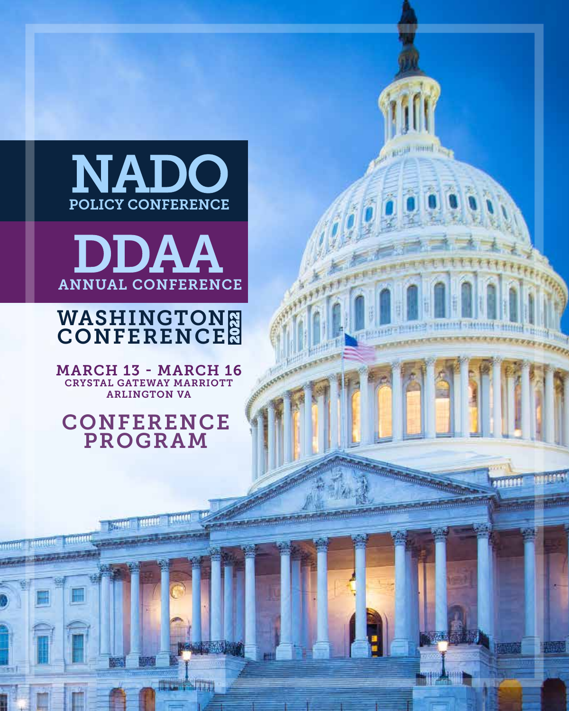

**Taxand** 



### WASHINGTON **CONFERENCE**

MARCH 13 - MARCH 16 CRYSTAL GATEWAY MARRIOTT ARLINGTON VA

CONFERENCE PROGRAM

**THE CONSTRU**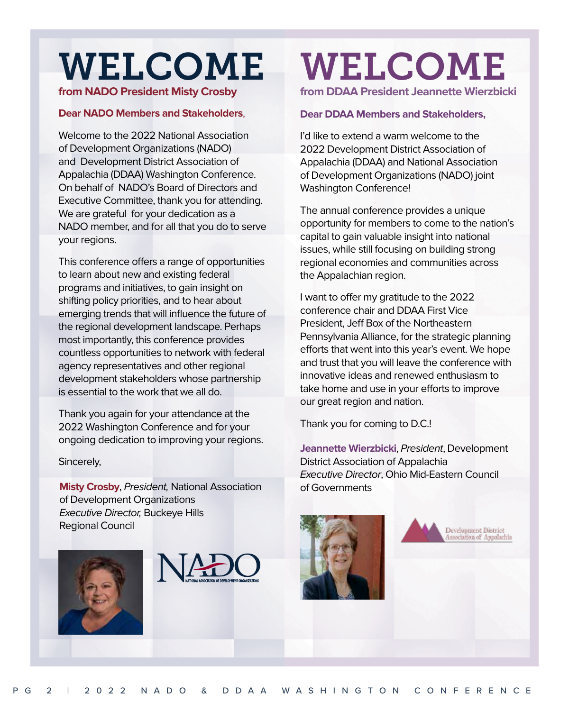## WELCOME

#### **from NADO President Misty Crosby**

#### **Dear NADO Members and Stakeholders**,

Welcome to the 2022 National Association of Development Organizations (NADO) and Development District Association of Appalachia (DDAA) Washington Conference. On behalf of NADO's Board of Directors and Executive Committee, thank you for attending. We are grateful for your dedication as a NADO member, and for all that you do to serve your regions.

This conference offers a range of opportunities to learn about new and existing federal programs and initiatives, to gain insight on shifting policy priorities, and to hear about emerging trends that will influence the future of the regional development landscape. Perhaps most importantly, this conference provides countless opportunities to network with federal agency representatives and other regional development stakeholders whose partnership is essential to the work that we all do.

Thank you again for your attendance at the 2022 Washington Conference and for your ongoing dedication to improving your regions.

#### Sincerely,

**Misty Crosby**, President, National Association of Development Organizations Executive Director, Buckeye Hills Regional Council





## WELCOME **from DDAA President Jeannette Wierzbicki**

#### **Dear DDAA Members and Stakeholders,**

I'd like to extend a warm welcome to the 2022 Development District Association of Appalachia (DDAA) and National Association of Development Organizations (NADO) joint Washington Conference!

The annual conference provides a unique opportunity for members to come to the nation's capital to gain valuable insight into national issues, while still focusing on building strong regional economies and communities across the Appalachian region.

I want to offer my gratitude to the 2022 conference chair and DDAA First Vice President, Jeff Box of the Northeastern Pennsylvania Alliance, for the strategic planning efforts that went into this year's event. We hope and trust that you will leave the conference with innovative ideas and renewed enthusiasm to take home and use in your efforts to improve our great region and nation.

Thank you for coming to D.C.!

**Jeannette Wierzbicki**, President, Development District Association of Appalachia Executive Director, Ohio Mid-Eastern Council of Governments



Development District<br>Association of Appalachia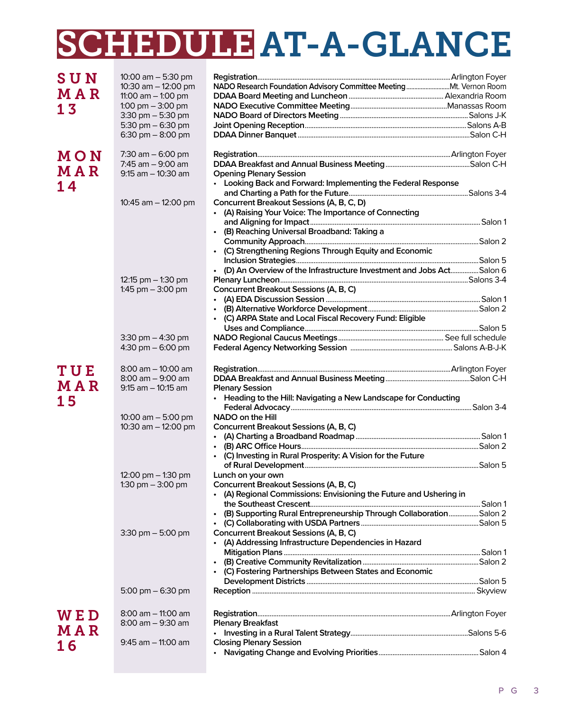## SCHEDULE AT-A-GLANCE

| <b>SUN</b> | 10:00 $am - 5:30 pm$                       |                                                                        |  |
|------------|--------------------------------------------|------------------------------------------------------------------------|--|
| <b>MAR</b> | 10:30 am - 12:00 pm                        |                                                                        |  |
|            | 11:00 $am - 1:00$ pm                       |                                                                        |  |
| 13         | 1:00 pm $-$ 3:00 pm                        |                                                                        |  |
|            | $3:30$ pm $-5:30$ pm                       |                                                                        |  |
|            | 5:30 pm $-$ 6:30 pm<br>6:30 pm $-$ 8:00 pm |                                                                        |  |
|            |                                            |                                                                        |  |
| MON        | 7:30 $am - 6:00 pm$<br>7:45 $am - 9:00$ am |                                                                        |  |
| MAR        | $9:15$ am $-10:30$ am                      | <b>Opening Plenary Session</b>                                         |  |
|            |                                            | • Looking Back and Forward: Implementing the Federal Response          |  |
| 14         |                                            |                                                                        |  |
|            | 10:45 am - 12:00 pm                        | Concurrent Breakout Sessions (A, B, C, D)                              |  |
|            |                                            | (A) Raising Your Voice: The Importance of Connecting<br>$\bullet$      |  |
|            |                                            |                                                                        |  |
|            |                                            | • (B) Reaching Universal Broadband: Taking a                           |  |
|            |                                            |                                                                        |  |
|            |                                            | • (C) Strengthening Regions Through Equity and Economic                |  |
|            |                                            |                                                                        |  |
|            |                                            | • (D) An Overview of the Infrastructure Investment and Jobs ActSalon 6 |  |
|            | 12:15 pm $-$ 1:30 pm                       |                                                                        |  |
|            | 1:45 pm $-$ 3:00 pm                        | Concurrent Breakout Sessions (A, B, C)                                 |  |
|            |                                            |                                                                        |  |
|            |                                            |                                                                        |  |
|            |                                            | • (C) ARPA State and Local Fiscal Recovery Fund: Eligible              |  |
|            |                                            |                                                                        |  |
|            | 3:30 pm $-$ 4:30 pm                        |                                                                        |  |
|            | 4:30 pm $-6:00$ pm                         |                                                                        |  |
|            |                                            |                                                                        |  |
| TUE        | $8:00$ am $-10:00$ am                      |                                                                        |  |
|            | $8:00$ am $-9:00$ am                       |                                                                        |  |
| <b>MAR</b> | $9:15$ am $-10:15$ am                      | <b>Plenary Session</b>                                                 |  |
| 15         |                                            | • Heading to the Hill: Navigating a New Landscape for Conducting       |  |
|            |                                            |                                                                        |  |
|            | 10:00 am $-$ 5:00 pm                       | NADO on the Hill                                                       |  |
|            | 10:30 am - 12:00 pm                        | Concurrent Breakout Sessions (A, B, C)                                 |  |
|            |                                            |                                                                        |  |
|            |                                            |                                                                        |  |
|            |                                            | • (C) Investing in Rural Prosperity: A Vision for the Future           |  |
|            |                                            |                                                                        |  |
|            | 12:00 pm $-$ 1:30 pm                       | Lunch on your own                                                      |  |
|            | 1:30 pm $-$ 3:00 pm                        | Concurrent Breakout Sessions (A, B, C)                                 |  |
|            |                                            | • (A) Regional Commissions: Envisioning the Future and Ushering in     |  |
|            |                                            |                                                                        |  |
|            |                                            | (B) Supporting Rural Entrepreneurship Through CollaborationSalon 2     |  |
|            |                                            |                                                                        |  |
|            | $3:30$ pm $-5:00$ pm                       | Concurrent Breakout Sessions (A, B, C)                                 |  |
|            |                                            | (A) Addressing Infrastructure Dependencies in Hazard                   |  |
|            |                                            |                                                                        |  |
|            |                                            |                                                                        |  |
|            |                                            | • (C) Fostering Partnerships Between States and Economic               |  |
|            |                                            |                                                                        |  |
|            | 5:00 pm $-$ 6:30 pm                        |                                                                        |  |
| <b>WED</b> | $8:00$ am $-$ 11:00 am                     |                                                                        |  |
|            | 8:00 am - 9:30 am                          | <b>Plenary Breakfast</b>                                               |  |
| MAR        |                                            |                                                                        |  |
| 16         | $9:45$ am $-$ 11:00 am                     | <b>Closing Plenary Session</b>                                         |  |
|            |                                            |                                                                        |  |

#### P G 3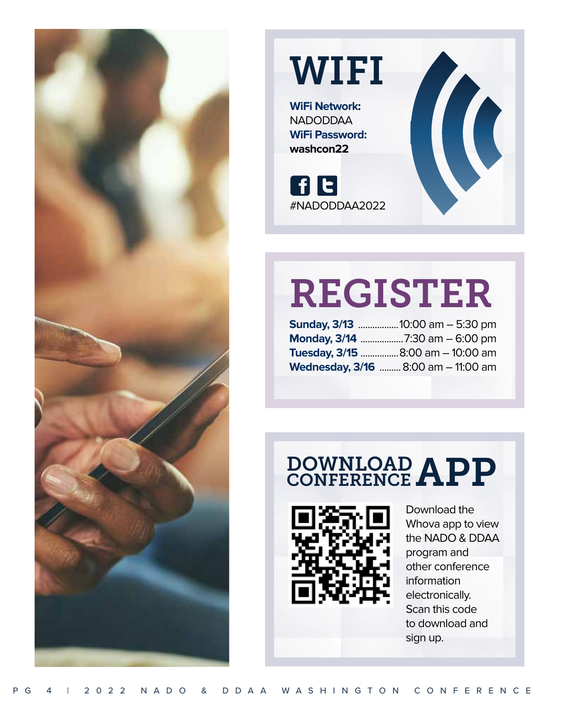

## **WIFI**

**WiFi Network:** NADODDAA **WiFi Password: washcon22**

**FE** #NADODDAA2022

## REGISTER

| <b>Sunday, 3/13 10:00 am - 5:30 pm</b>   |
|------------------------------------------|
|                                          |
| <b>Tuesday, 3/15 </b> 8:00 am - 10:00 am |
| Wednesday, 3/16  8:00 am - 11:00 am      |

### DOWNLOAD APP **CONFERENCE**



Download the Whova app to view the NADO & DDAA program and other conference information electronically. Scan this code to download and sign up.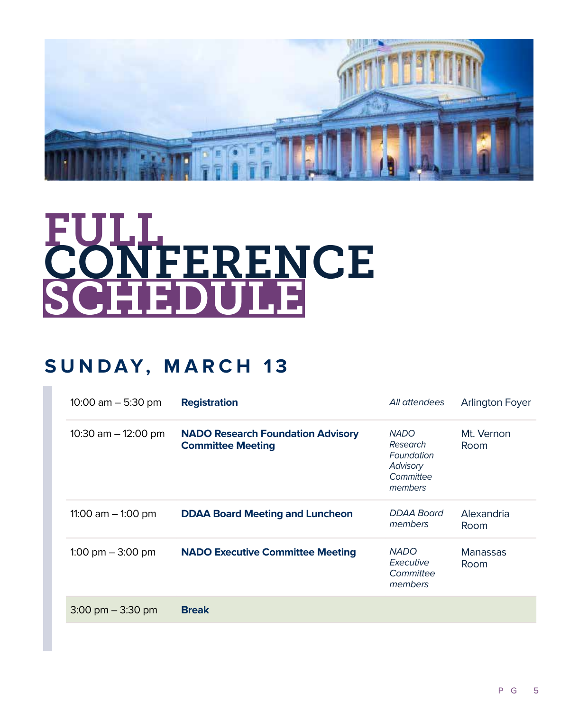

# FULL<br>CONFERENCE SCHEDULE

### **SUNDAY, MARCH 13**

| 10:00 $am - 5:30$ pm                | <b>Registration</b>                                                  | All attendees                                                             | <b>Arlington Foyer</b>  |
|-------------------------------------|----------------------------------------------------------------------|---------------------------------------------------------------------------|-------------------------|
| 10:30 am $-$ 12:00 pm               | <b>NADO Research Foundation Advisory</b><br><b>Committee Meeting</b> | <b>NADO</b><br>Research<br>Foundation<br>Advisory<br>Committee<br>members | Mt. Vernon<br>Room      |
| 11:00 am $-$ 1:00 pm                | <b>DDAA Board Meeting and Luncheon</b>                               | DDAA Board<br>members                                                     | Alexandria<br>Room      |
| 1:00 pm $-$ 3:00 pm                 | <b>NADO Executive Committee Meeting</b>                              | <b>NADO</b><br>Executive<br>Committee<br>members                          | <b>Manassas</b><br>Room |
| $3:00 \text{ pm} - 3:30 \text{ pm}$ | <b>Break</b>                                                         |                                                                           |                         |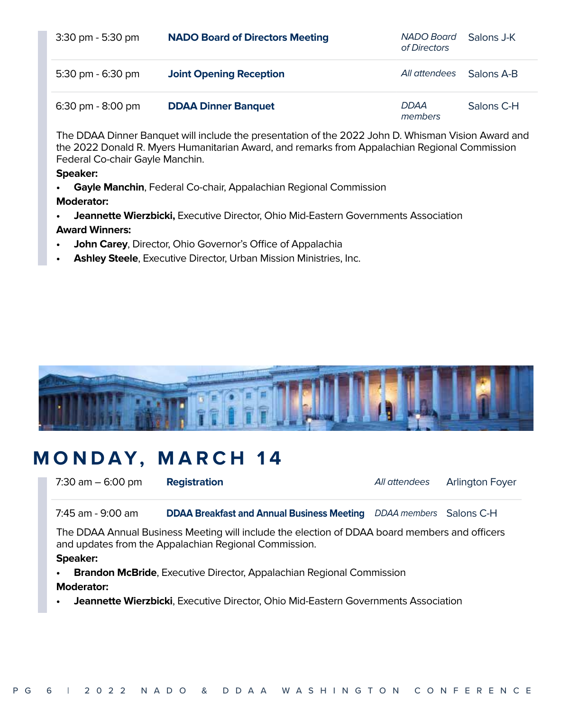| $3:30 \text{ pm} - 5:30 \text{ pm}$ | <b>NADO Board of Directors Meeting</b> | NADO Board<br>of Directors | - Salons J-K |
|-------------------------------------|----------------------------------------|----------------------------|--------------|
| 5:30 pm - 6:30 pm                   | <b>Joint Opening Reception</b>         | All attendees              | - Salons A-B |
| $6:30 \text{ pm} - 8:00 \text{ pm}$ | <b>DDAA Dinner Banquet</b>             | <b>DDAA</b><br>members     | Salons C-H   |

The DDAA Dinner Banquet will include the presentation of the 2022 John D. Whisman Vision Award and the 2022 Donald R. Myers Humanitarian Award, and remarks from Appalachian Regional Commission Federal Co-chair Gayle Manchin.

#### **Speaker:**

**• Gayle Manchin**, Federal Co-chair, Appalachian Regional Commission

#### **Moderator:**

- **• Jeannette Wierzbicki,** Executive Director, Ohio Mid-Eastern Governments Association **Award Winners:**
- **• John Carey**, Director, Ohio Governor's Office of Appalachia
- **• Ashley Steele**, Executive Director, Urban Mission Ministries, Inc.



### **MONDAY, MARCH 14**

7:30 am – 6:00 pm **Registration All attendees** Arlington Foyer

7:45 am - 9:00 am **DDAA Breakfast and Annual Business Meeting** DDAA members Salons C-H

The DDAA Annual Business Meeting will include the election of DDAA board members and officers and updates from the Appalachian Regional Commission.

#### **Speaker:**

- **• Brandon McBride**, Executive Director, Appalachian Regional Commission **Moderator:**
- **• Jeannette Wierzbicki**, Executive Director, Ohio Mid-Eastern Governments Association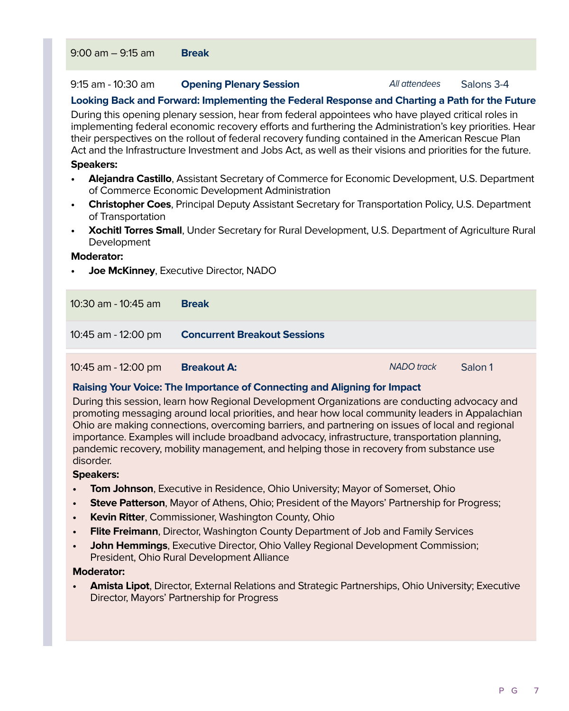#### 9:15 am - 10:30 am **Opening Plenary Session All attendees** Salons 3-4

#### **Looking Back and Forward: Implementing the Federal Response and Charting a Path for the Future**

During this opening plenary session, hear from federal appointees who have played critical roles in implementing federal economic recovery efforts and furthering the Administration's key priorities. Hear their perspectives on the rollout of federal recovery funding contained in the American Rescue Plan Act and the Infrastructure Investment and Jobs Act, as well as their visions and priorities for the future.

#### **Speakers:**

- **• Alejandra Castillo**, Assistant Secretary of Commerce for Economic Development, U.S. Department of Commerce Economic Development Administration
- **• Christopher Coes**, Principal Deputy Assistant Secretary for Transportation Policy, U.S. Department of Transportation
- **• Xochitl Torres Small**, Under Secretary for Rural Development, U.S. Department of Agriculture Rural Development

#### **Moderator:**

**• Joe McKinney**, Executive Director, NADO

| 10:30 am - 10:45 am | <b>Break</b>                        |
|---------------------|-------------------------------------|
| 10:45 am - 12:00 pm | <b>Concurrent Breakout Sessions</b> |
|                     |                                     |

10:45 am - 12:00 pm **Breakout A:** NADO track Salon 1

#### **Raising Your Voice: The Importance of Connecting and Aligning for Impact**

During this session, learn how Regional Development Organizations are conducting advocacy and promoting messaging around local priorities, and hear how local community leaders in Appalachian Ohio are making connections, overcoming barriers, and partnering on issues of local and regional importance. Examples will include broadband advocacy, infrastructure, transportation planning, pandemic recovery, mobility management, and helping those in recovery from substance use disorder.

#### **Speakers:**

- **• Tom Johnson**, Executive in Residence, Ohio University; Mayor of Somerset, Ohio
- **• Steve Patterson**, Mayor of Athens, Ohio; President of the Mayors' Partnership for Progress;
- **• Kevin Ritter**, Commissioner, Washington County, Ohio
- **• Flite Freimann**, Director, Washington County Department of Job and Family Services
- **• John Hemmings**, Executive Director, Ohio Valley Regional Development Commission; President, Ohio Rural Development Alliance

#### **Moderator:**

**• Amista Lipot**, Director, External Relations and Strategic Partnerships, Ohio University; Executive Director, Mayors' Partnership for Progress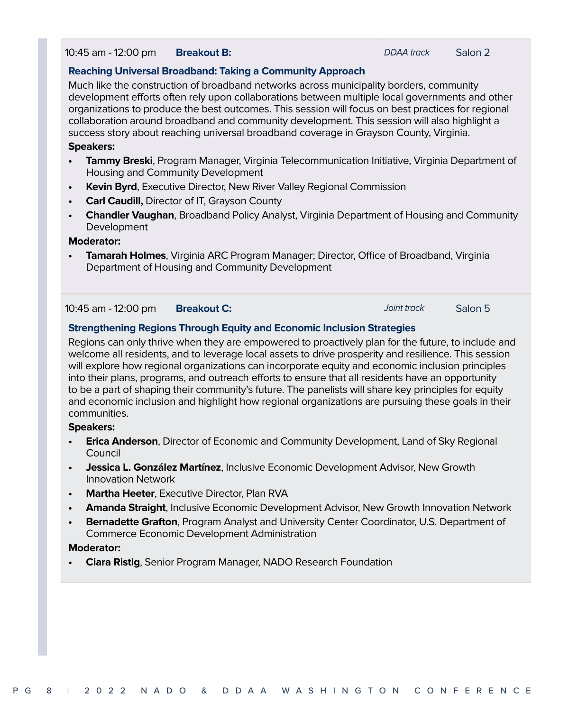10:45 am - 12:00 pm **Breakout B:** DDAA track Salon 2

#### **Reaching Universal Broadband: Taking a Community Approach**

Much like the construction of broadband networks across municipality borders, community development efforts often rely upon collaborations between multiple local governments and other organizations to produce the best outcomes. This session will focus on best practices for regional collaboration around broadband and community development. This session will also highlight a success story about reaching universal broadband coverage in Grayson County, Virginia.

#### **Speakers:**

- **• Tammy Breski**, Program Manager, Virginia Telecommunication Initiative, Virginia Department of Housing and Community Development
- **• Kevin Byrd**, Executive Director, New River Valley Regional Commission
- **• Carl Caudill,** Director of IT, Grayson County
- **• Chandler Vaughan**, Broadband Policy Analyst, Virginia Department of Housing and Community Development

#### **Moderator:**

**• Tamarah Holmes**, Virginia ARC Program Manager; Director, Office of Broadband, Virginia Department of Housing and Community Development

#### 10:45 am - 12:00 pm **Breakout C:** Joint track Salon 5

#### **Strengthening Regions Through Equity and Economic Inclusion Strategies**

Regions can only thrive when they are empowered to proactively plan for the future, to include and welcome all residents, and to leverage local assets to drive prosperity and resilience. This session will explore how regional organizations can incorporate equity and economic inclusion principles into their plans, programs, and outreach efforts to ensure that all residents have an opportunity to be a part of shaping their community's future. The panelists will share key principles for equity and economic inclusion and highlight how regional organizations are pursuing these goals in their communities.

#### **Speakers:**

- **• Erica Anderson**, Director of Economic and Community Development, Land of Sky Regional Council
- **• Jessica L. González Martínez**, Inclusive Economic Development Advisor, New Growth Innovation Network
- **• Martha Heeter**, Executive Director, Plan RVA
- **• Amanda Straight**, Inclusive Economic Development Advisor, New Growth Innovation Network
- **• Bernadette Grafton**, Program Analyst and University Center Coordinator, U.S. Department of Commerce Economic Development Administration

#### **Moderator:**

**• Ciara Ristig**, Senior Program Manager, NADO Research Foundation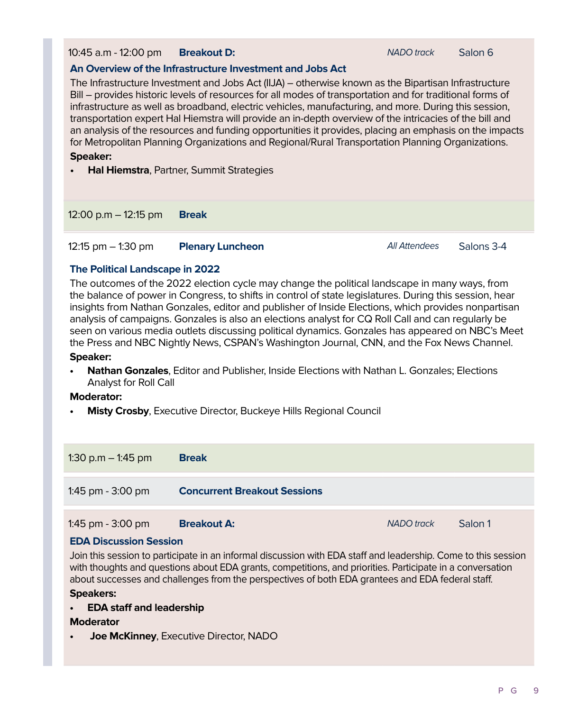10:45 a.m - 12:00 pm **Breakout D:** NADO track Salon 6

#### **An Overview of the Infrastructure Investment and Jobs Act**

The Infrastructure Investment and Jobs Act (IIJA) – otherwise known as the Bipartisan Infrastructure Bill – provides historic levels of resources for all modes of transportation and for traditional forms of infrastructure as well as broadband, electric vehicles, manufacturing, and more. During this session, transportation expert Hal Hiemstra will provide an in-depth overview of the intricacies of the bill and an analysis of the resources and funding opportunities it provides, placing an emphasis on the impacts for Metropolitan Planning Organizations and Regional/Rural Transportation Planning Organizations.

#### **Speaker:**

**• Hal Hiemstra**, Partner, Summit Strategies

12:00 p.m – 12:15 pm **Break**

12:15 pm – 1:30 pm **Plenary Luncheon All Attendees** Salons 3-4

#### **The Political Landscape in 2022**

The outcomes of the 2022 election cycle may change the political landscape in many ways, from the balance of power in Congress, to shifts in control of state legislatures. During this session, hear insights from Nathan Gonzales, editor and publisher of Inside Elections, which provides nonpartisan analysis of campaigns. Gonzales is also an elections analyst for CQ Roll Call and can regularly be seen on various media outlets discussing political dynamics. Gonzales has appeared on NBC's Meet the Press and NBC Nightly News, CSPAN's Washington Journal, CNN, and the Fox News Channel.

#### **Speaker:**

**• Nathan Gonzales**, Editor and Publisher, Inside Elections with Nathan L. Gonzales; Elections Analyst for Roll Call

#### **Moderator:**

**• Misty Crosby**, Executive Director, Buckeye Hills Regional Council

| 1:30 p.m $-$ 1:45 pm | <b>Break</b>                        |                   |         |
|----------------------|-------------------------------------|-------------------|---------|
| 1:45 pm - 3:00 pm    | <b>Concurrent Breakout Sessions</b> |                   |         |
| 1:45 pm $-$ 3:00 pm  | <b>Breakout A:</b>                  | <b>NADO</b> track | Salon 1 |

#### **EDA Discussion Session**

Join this session to participate in an informal discussion with EDA staff and leadership. Come to this session with thoughts and questions about EDA grants, competitions, and priorities. Participate in a conversation about successes and challenges from the perspectives of both EDA grantees and EDA federal staff. **Speakers:**

#### **• EDA staff and leadership**

#### **Moderator**

**• Joe McKinney**, Executive Director, NADO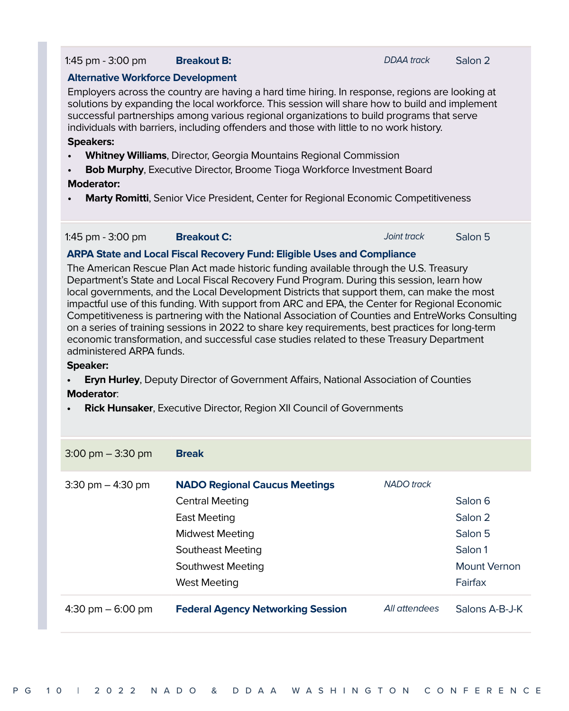#### 1:45 pm - 3:00 pm **Breakout B:** DDAA track Salon 2

#### **Alternative Workforce Development**

Employers across the country are having a hard time hiring. In response, regions are looking at solutions by expanding the local workforce. This session will share how to build and implement successful partnerships among various regional organizations to build programs that serve individuals with barriers, including offenders and those with little to no work history.

#### **Speakers:**

- **• Whitney Williams**, Director, Georgia Mountains Regional Commission
- **• Bob Murphy**, Executive Director, Broome Tioga Workforce Investment Board

#### **Moderator:**

**• Marty Romitti**, Senior Vice President, Center for Regional Economic Competitiveness

| 1:45 pm - 3:00 pm | <b>Breakout C:</b> | Joint track | Salon 5 |
|-------------------|--------------------|-------------|---------|
|-------------------|--------------------|-------------|---------|

#### **ARPA State and Local Fiscal Recovery Fund: Eligible Uses and Compliance**

The American Rescue Plan Act made historic funding available through the U.S. Treasury Department's State and Local Fiscal Recovery Fund Program. During this session, learn how local governments, and the Local Development Districts that support them, can make the most impactful use of this funding. With support from ARC and EPA, the Center for Regional Economic Competitiveness is partnering with the National Association of Counties and EntreWorks Consulting on a series of training sessions in 2022 to share key requirements, best practices for long-term economic transformation, and successful case studies related to these Treasury Department administered ARPA funds.

#### **Speaker:**

**• Eryn Hurley**, Deputy Director of Government Affairs, National Association of Counties

#### **Moderator**:

**• Rick Hunsaker**, Executive Director, Region XII Council of Governments

| $3:00 \text{ pm} - 3:30 \text{ pm}$ | <b>Break</b>                                                                                                                                       |               |                                                          |
|-------------------------------------|----------------------------------------------------------------------------------------------------------------------------------------------------|---------------|----------------------------------------------------------|
| $3:30 \text{ pm} - 4:30 \text{ pm}$ | <b>NADO Regional Caucus Meetings</b><br><b>Central Meeting</b><br>East Meeting<br><b>Midwest Meeting</b><br>Southeast Meeting<br>Southwest Meeting | NADO track    | Salon 6<br>Salon 2<br>Salon 5<br>Salon 1<br>Mount Vernon |
|                                     | <b>West Meeting</b>                                                                                                                                |               | Fairfax                                                  |
| 4:30 pm $-$ 6:00 pm                 | <b>Federal Agency Networking Session</b>                                                                                                           | All attendees | Salons A-B-J-K                                           |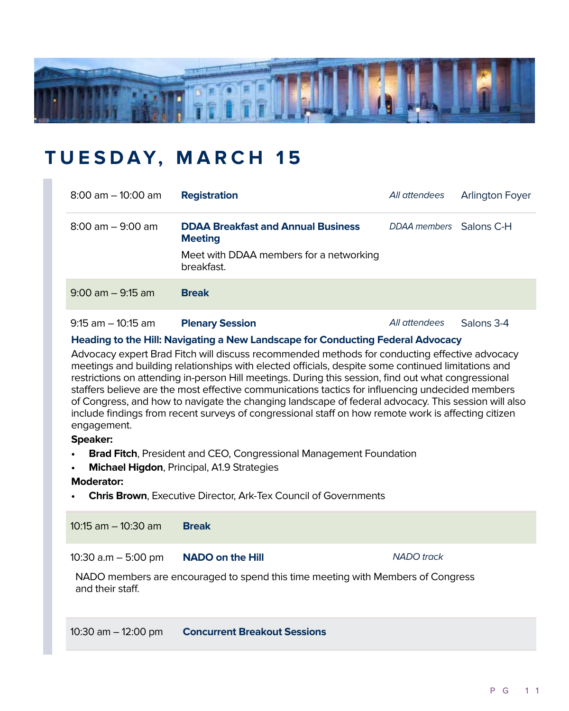

### **TUESDAY, MARCH 15**

| $8:00$ am $-10:00$ am               | <b>Registration</b>                                         | All attendees                                                                                                                                                                                                                                                                                                                                                                        | <b>Arlington Foyer</b> |
|-------------------------------------|-------------------------------------------------------------|--------------------------------------------------------------------------------------------------------------------------------------------------------------------------------------------------------------------------------------------------------------------------------------------------------------------------------------------------------------------------------------|------------------------|
| $8:00 \text{ am} - 9:00 \text{ am}$ | <b>DDAA Breakfast and Annual Business</b><br><b>Meeting</b> | DDAA members Salons C-H                                                                                                                                                                                                                                                                                                                                                              |                        |
|                                     | Meet with DDAA members for a networking<br>breakfast.       |                                                                                                                                                                                                                                                                                                                                                                                      |                        |
| $9:00$ am $-9:15$ am                | <b>Break</b>                                                |                                                                                                                                                                                                                                                                                                                                                                                      |                        |
| $\sim$ $\sim$                       |                                                             | $\overline{a}$ $\overline{a}$ $\overline{a}$ $\overline{a}$ $\overline{a}$ $\overline{a}$ $\overline{a}$ $\overline{a}$ $\overline{a}$ $\overline{a}$ $\overline{a}$ $\overline{a}$ $\overline{a}$ $\overline{a}$ $\overline{a}$ $\overline{a}$ $\overline{a}$ $\overline{a}$ $\overline{a}$ $\overline{a}$ $\overline{a}$ $\overline{a}$ $\overline{a}$ $\overline{a}$ $\overline{$ |                        |

9:15 am – 10:15 am **Plenary Session All attendees** Salons 3-4

#### **Heading to the Hill: Navigating a New Landscape for Conducting Federal Advocacy**

Advocacy expert Brad Fitch will discuss recommended methods for conducting effective advocacy meetings and building relationships with elected officials, despite some continued limitations and restrictions on attending in-person Hill meetings. During this session, find out what congressional staffers believe are the most effective communications tactics for influencing undecided members of Congress, and how to navigate the changing landscape of federal advocacy. This session will also include findings from recent surveys of congressional staff on how remote work is affecting citizen engagement.

#### **Speaker:**

- **• Brad Fitch**, President and CEO, Congressional Management Foundation
- **• Michael Higdon**, Principal, A1.9 Strategies

#### **Moderator:**

**• Chris Brown**, Executive Director, Ark-Tex Council of Governments

10:15 am – 10:30 am **Break**

10:30 a.m - 5:00 pm **NADO on the Hill NADO** track

NADO members are encouraged to spend this time meeting with Members of Congress and their staff.

10:30 am – 12:00 pm **Concurrent Breakout Sessions**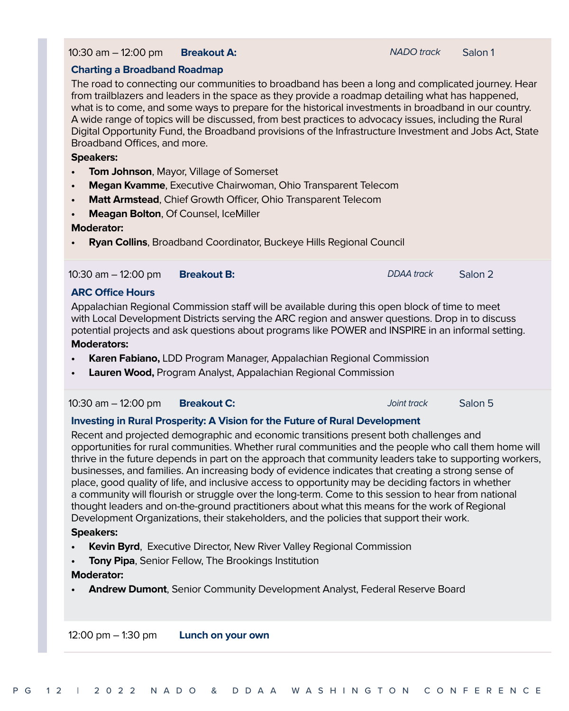#### 10:30 am – 12:00 pm **Breakout A: NADO** track Salon 1

#### **Charting a Broadband Roadmap**

The road to connecting our communities to broadband has been a long and complicated journey. Hear from trailblazers and leaders in the space as they provide a roadmap detailing what has happened, what is to come, and some ways to prepare for the historical investments in broadband in our country. A wide range of topics will be discussed, from best practices to advocacy issues, including the Rural Digital Opportunity Fund, the Broadband provisions of the Infrastructure Investment and Jobs Act, State Broadband Offices, and more.

#### **Speakers:**

- **• Tom Johnson**, Mayor, Village of Somerset
- **• Megan Kvamme**, Executive Chairwoman, Ohio Transparent Telecom
- **• Matt Armstead**, Chief Growth Officer, Ohio Transparent Telecom
- **• Meagan Bolton**, Of Counsel, IceMiller

#### **Moderator:**

**• Ryan Collins**, Broadband Coordinator, Buckeye Hills Regional Council

#### 10:30 am – 12:00 pm **Breakout B:** DDAA track Salon 2

#### **ARC Office Hours**

Appalachian Regional Commission staff will be available during this open block of time to meet with Local Development Districts serving the ARC region and answer questions. Drop in to discuss potential projects and ask questions about programs like POWER and INSPIRE in an informal setting.

#### **Moderators:**

- **• Karen Fabiano,** LDD Program Manager, Appalachian Regional Commission
- **• Lauren Wood,** Program Analyst, Appalachian Regional Commission

#### 10:30 am – 12:00 pm **Breakout C:** Joint track Salon 5

#### **Investing in Rural Prosperity: A Vision for the Future of Rural Development**

Recent and projected demographic and economic transitions present both challenges and opportunities for rural communities. Whether rural communities and the people who call them home will thrive in the future depends in part on the approach that community leaders take to supporting workers, businesses, and families. An increasing body of evidence indicates that creating a strong sense of place, good quality of life, and inclusive access to opportunity may be deciding factors in whether a community will flourish or struggle over the long-term. Come to this session to hear from national thought leaders and on-the-ground practitioners about what this means for the work of Regional Development Organizations, their stakeholders, and the policies that support their work.

#### **Speakers:**

- **• Kevin Byrd**, Executive Director, New River Valley Regional Commission
- **• Tony Pipa**, Senior Fellow, The Brookings Institution

#### **Moderator:**

**• Andrew Dumont**, Senior Community Development Analyst, Federal Reserve Board

12:00 pm – 1:30 pm **Lunch on your own**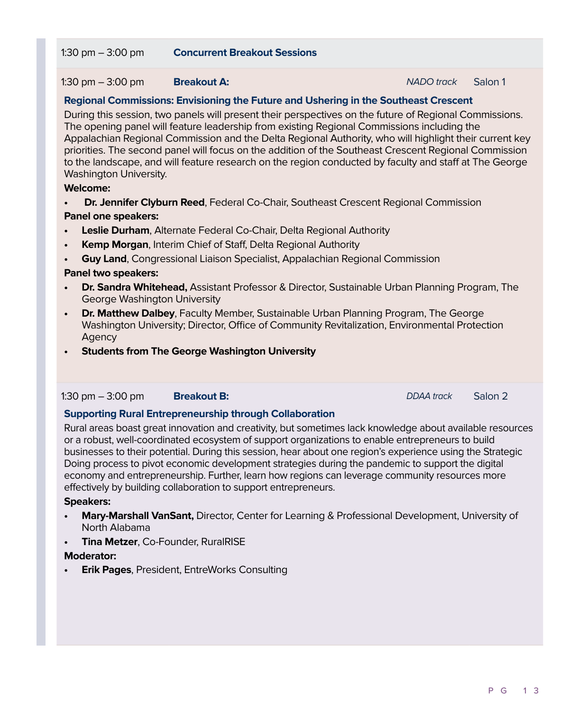#### 1:30 pm – 3:00 pm **Breakout A:** NADO track Salon 1

#### **Regional Commissions: Envisioning the Future and Ushering in the Southeast Crescent**

During this session, two panels will present their perspectives on the future of Regional Commissions. The opening panel will feature leadership from existing Regional Commissions including the Appalachian Regional Commission and the Delta Regional Authority, who will highlight their current key priorities. The second panel will focus on the addition of the Southeast Crescent Regional Commission to the landscape, and will feature research on the region conducted by faculty and staff at The George Washington University.

#### **Welcome:**

**Dr. Jennifer Clyburn Reed**, Federal Co-Chair, Southeast Crescent Regional Commission **Panel one speakers:**

- **• Leslie Durham**, Alternate Federal Co-Chair, Delta Regional Authority
- **• Kemp Morgan**, Interim Chief of Staff, Delta Regional Authority
- **• Guy Land**, Congressional Liaison Specialist, Appalachian Regional Commission

#### **Panel two speakers:**

- **• Dr. Sandra Whitehead,** Assistant Professor & Director, Sustainable Urban Planning Program, The George Washington University
- **• Dr. Matthew Dalbey**, Faculty Member, Sustainable Urban Planning Program, The George Washington University; Director, Office of Community Revitalization, Environmental Protection Agency
- **• Students from The George Washington University**

#### 1:30 pm – 3:00 pm **Breakout B: Breakout B:** DDAA track Salon 2

#### **Supporting Rural Entrepreneurship through Collaboration**

Rural areas boast great innovation and creativity, but sometimes lack knowledge about available resources or a robust, well-coordinated ecosystem of support organizations to enable entrepreneurs to build businesses to their potential. During this session, hear about one region's experience using the Strategic Doing process to pivot economic development strategies during the pandemic to support the digital economy and entrepreneurship. Further, learn how regions can leverage community resources more effectively by building collaboration to support entrepreneurs.

#### **Speakers:**

- **• Mary-Marshall VanSant,** Director, Center for Learning & Professional Development, University of North Alabama
- **• Tina Metzer**, Co-Founder, RuralRISE

#### **Moderator:**

**• Erik Pages**, President, EntreWorks Consulting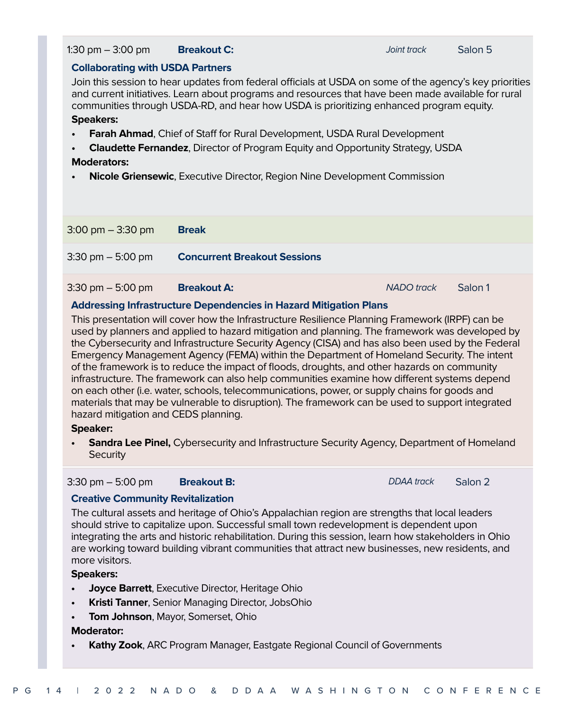#### PG 14 | 2022 NADO & DDAA WASHINGTON CONFERENCE

#### 1:30 pm – 3:00 pm **Breakout C:** Joint track Salon 5

#### **Collaborating with USDA Partners**

Join this session to hear updates from federal officials at USDA on some of the agency's key priorities and current initiatives. Learn about programs and resources that have been made available for rural communities through USDA-RD, and hear how USDA is prioritizing enhanced program equity. **Speakers:**

- **• Farah Ahmad**, Chief of Staff for Rural Development, USDA Rural Development
- **• Claudette Fernandez**, Director of Program Equity and Opportunity Strategy, USDA **Moderators:**
- **• Nicole Griensewic**, Executive Director, Region Nine Development Commission

| $3:00 \text{ pm} - 3:30 \text{ pm}$ | <b>Break</b>                        |                   |         |
|-------------------------------------|-------------------------------------|-------------------|---------|
| $3:30 \text{ pm} - 5:00 \text{ pm}$ | <b>Concurrent Breakout Sessions</b> |                   |         |
| $3:30 \text{ pm} - 5:00 \text{ pm}$ | <b>Breakout A:</b>                  | <b>NADO</b> track | Salon 1 |

#### **Addressing Infrastructure Dependencies in Hazard Mitigation Plans**

This presentation will cover how the Infrastructure Resilience Planning Framework (IRPF) can be used by planners and applied to hazard mitigation and planning. The framework was developed by the Cybersecurity and Infrastructure Security Agency (CISA) and has also been used by the Federal Emergency Management Agency (FEMA) within the Department of Homeland Security. The intent of the framework is to reduce the impact of floods, droughts, and other hazards on community infrastructure. The framework can also help communities examine how different systems depend on each other (i.e. water, schools, telecommunications, power, or supply chains for goods and materials that may be vulnerable to disruption). The framework can be used to support integrated hazard mitigation and CEDS planning.

#### **Speaker:**

**• Sandra Lee Pinel,** Cybersecurity and Infrastructure Security Agency, Department of Homeland **Security** 

3:30 pm – 5:00 pm **Breakout B:** DDAA track Salon 2

#### **Creative Community Revitalization**

The cultural assets and heritage of Ohio's Appalachian region are strengths that local leaders should strive to capitalize upon. Successful small town redevelopment is dependent upon integrating the arts and historic rehabilitation. During this session, learn how stakeholders in Ohio are working toward building vibrant communities that attract new businesses, new residents, and more visitors.

#### **Speakers:**

- **• Joyce Barrett**, Executive Director, Heritage Ohio
- **• Kristi Tanner**, Senior Managing Director, JobsOhio
- **• Tom Johnson**, Mayor, Somerset, Ohio

#### **Moderator:**

**• Kathy Zook**, ARC Program Manager, Eastgate Regional Council of Governments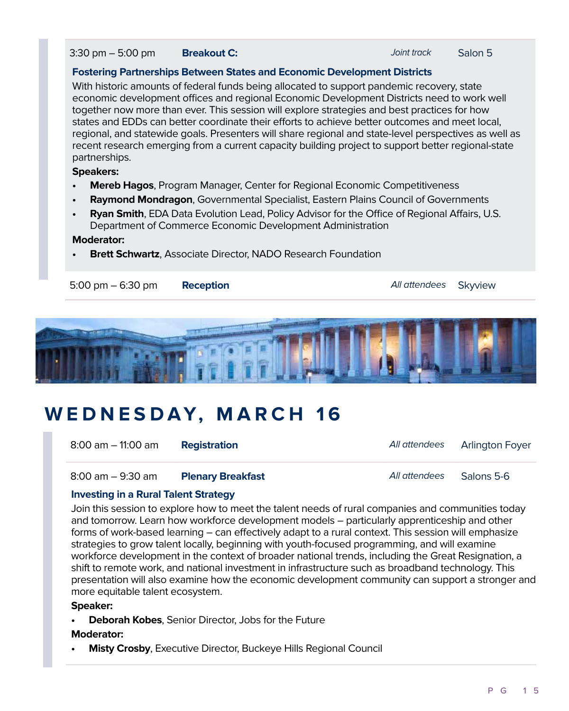3:30 pm – 5:00 pm **Breakout C:** And the *Salon 5* salon 5

#### **Fostering Partnerships Between States and Economic Development Districts**

With historic amounts of federal funds being allocated to support pandemic recovery, state economic development offices and regional Economic Development Districts need to work well together now more than ever. This session will explore strategies and best practices for how states and EDDs can better coordinate their efforts to achieve better outcomes and meet local, regional, and statewide goals. Presenters will share regional and state-level perspectives as well as recent research emerging from a current capacity building project to support better regional-state partnerships.

#### **Speakers:**

- **• Mereb Hagos**, Program Manager, Center for Regional Economic Competitiveness
- **• Raymond Mondragon**, Governmental Specialist, Eastern Plains Council of Governments
- **• Ryan Smith**, EDA Data Evolution Lead, Policy Advisor for the Office of Regional Affairs, U.S. Department of Commerce Economic Development Administration

#### **Moderator:**

**• Brett Schwartz**, Associate Director, NADO Research Foundation





### **WEDNESDAY, MARCH 16**

| 8:00 am – 11:00 am | <b>Registration</b>      | All attendees | Arlington Foyer |
|--------------------|--------------------------|---------------|-----------------|
| 8:00 am – 9:30 am  | <b>Plenary Breakfast</b> | All attendees | Salons 5-6      |

### **Investing in a Rural Talent Strategy**

Join this session to explore how to meet the talent needs of rural companies and communities today and tomorrow. Learn how workforce development models – particularly apprenticeship and other forms of work-based learning – can effectively adapt to a rural context. This session will emphasize strategies to grow talent locally, beginning with youth-focused programming, and will examine workforce development in the context of broader national trends, including the Great Resignation, a shift to remote work, and national investment in infrastructure such as broadband technology. This presentation will also examine how the economic development community can support a stronger and more equitable talent ecosystem.

#### **Speaker:**

**• Deborah Kobes**, Senior Director, Jobs for the Future

#### **Moderator:**

**• Misty Crosby**, Executive Director, Buckeye Hills Regional Council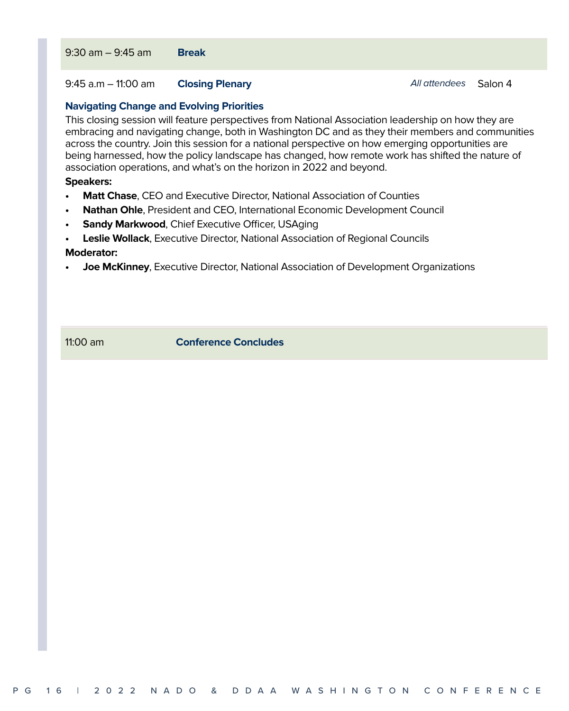9:45 a.m – 11:00 am **Closing Plenary All attendees** Salon 4

#### **Navigating Change and Evolving Priorities**

This closing session will feature perspectives from National Association leadership on how they are embracing and navigating change, both in Washington DC and as they their members and communities across the country. Join this session for a national perspective on how emerging opportunities are being harnessed, how the policy landscape has changed, how remote work has shifted the nature of association operations, and what's on the horizon in 2022 and beyond.

#### **Speakers:**

- **• Matt Chase**, CEO and Executive Director, National Association of Counties
- **• Nathan Ohle**, President and CEO, International Economic Development Council
- **Sandy Markwood, Chief Executive Officer, USAging**
- **• Leslie Wollack**, Executive Director, National Association of Regional Councils **Moderator:**
- **• Joe McKinney**, Executive Director, National Association of Development Organizations

11:00 am **Conference Concludes**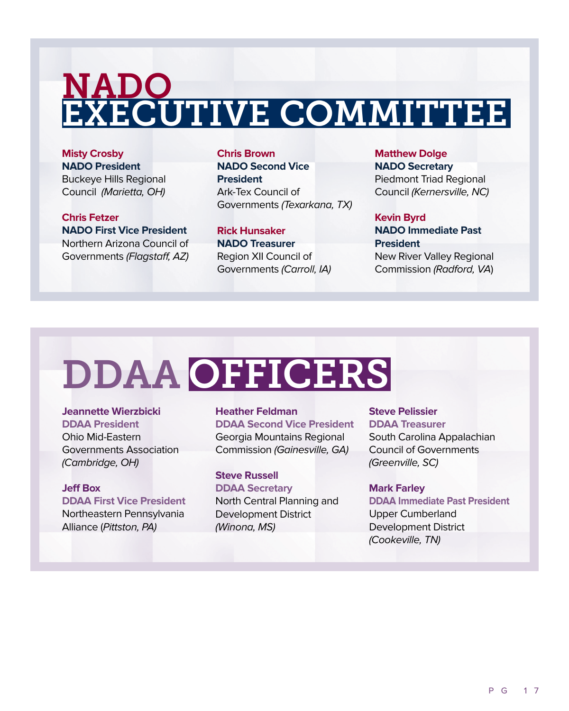## NADO EXECUTIVE COMMITTEE

**Misty Crosby NADO President** Buckeye Hills Regional Council (Marietta, OH)

**Chris Fetzer NADO First Vice President** Northern Arizona Council of Governments (Flagstaff, AZ) **Chris Brown NADO Second Vice President** Ark-Tex Council of Governments (Texarkana, TX)

**Rick Hunsaker NADO Treasurer** Region XII Council of Governments (Carroll, IA) **Matthew Dolge NADO Secretary** Piedmont Triad Regional Council (Kernersville, NC)

**Kevin Byrd NADO Immediate Past President**

New River Valley Regional Commission (Radford, VA)

## DDAA OFFICERS

**Jeannette Wierzbicki DDAA President**  Ohio Mid-Eastern Governments Association

(Cambridge, OH)

**Jeff Box DDAA First Vice President** Northeastern Pennsylvania Alliance (Pittston, PA)

**Heather Feldman DDAA Second Vice President** Georgia Mountains Regional Commission (Gainesville, GA)

**Steve Russell DDAA Secretary** North Central Planning and Development District (Winona, MS)

**Steve Pelissier DDAA Treasurer** South Carolina Appalachian Council of Governments (Greenville, SC)

**Mark Farley DDAA Immediate Past President** Upper Cumberland Development District

(Cookeville, TN)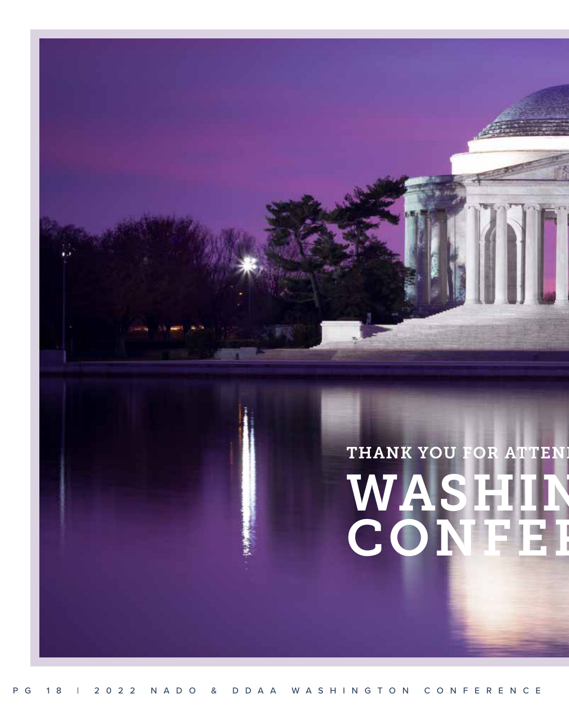## WASHIN CONFEI THANK YOU FOR ATTEN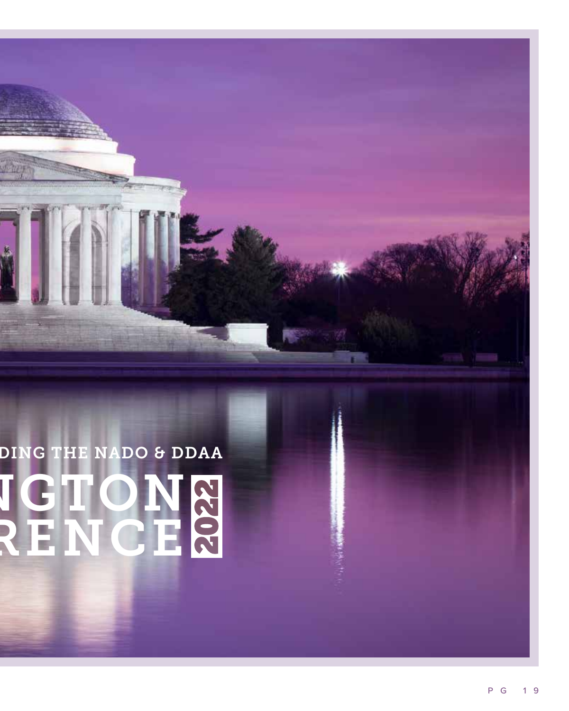## **VGTON** RENCE DING THE NADO & DDAA